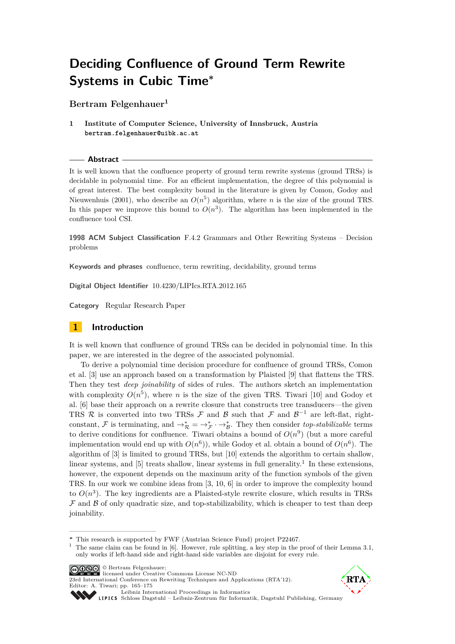**Bertram Felgenhauer<sup>1</sup>**

**1 Institute of Computer Science, University of Innsbruck, Austria bertram.felgenhauer@uibk.ac.at**

#### **Abstract**

It is well known that the confluence property of ground term rewrite systems (ground TRSs) is decidable in polynomial time. For an efficient implementation, the degree of this polynomial is of great interest. The best complexity bound in the literature is given by Comon, Godoy and Nieuwenhuis (2001), who describe an  $O(n^5)$  algorithm, where *n* is the size of the ground TRS. In this paper we improve this bound to  $O(n^3)$ . The algorithm has been implemented in the confluence tool CSI.

**1998 ACM Subject Classification** F.4.2 Grammars and Other Rewriting Systems – Decision problems

**Keywords and phrases** confluence, term rewriting, decidability, ground terms

**Digital Object Identifier** [10.4230/LIPIcs.RTA.2012.165](http://dx.doi.org/10.4230/LIPIcs.RTA.2012.165)

**Category** Regular Research Paper

# **1 Introduction**

It is well known that confluence of ground TRSs can be decided in polynomial time. In this paper, we are interested in the degree of the associated polynomial.

To derive a polynomial time decision procedure for confluence of ground TRSs, Comon et al. [\[3\]](#page-10-0) use an approach based on a transformation by Plaisted [\[9\]](#page-10-1) that flattens the TRS. Then they test *deep joinability* of sides of rules. The authors sketch an implementation with complexity  $O(n^5)$ , where *n* is the size of the given TRS. Tiwari [\[10\]](#page-10-2) and Godoy et al. [\[6\]](#page-10-3) base their approach on a rewrite closure that constructs tree transducers—the given TRS R is converted into two TRSs F and B such that F and  $\mathcal{B}^{-1}$  are left-flat, rightconstant, F is terminating, and  $\rightarrow_{\mathcal{R}}^* = \rightarrow_{\mathcal{F}}^* \cdot \rightarrow_{\mathcal{B}}^*$ . They then consider *top-stabilizable* terms to derive conditions for confluence. Tiwari obtains a bound of  $O(n^9)$  (but a more careful implementation would end up with  $O(n^6)$ , while Godoy et al. obtain a bound of  $O(n^6)$ . The algorithm of [\[3\]](#page-10-0) is limited to ground TRSs, but [\[10\]](#page-10-2) extends the algorithm to certain shallow, linear systems, and  $[5]$  treats shallow, linear systems in full generality.<sup>1</sup> In these extensions, however, the exponent depends on the maximum arity of the function symbols of the given TRS. In our work we combine ideas from [\[3,](#page-10-0) [10,](#page-10-2) [6\]](#page-10-3) in order to improve the complexity bound to  $O(n^3)$ . The key ingredients are a Plaisted-style rewrite closure, which results in TRSs  $\mathcal F$  and  $\mathcal B$  of only quadratic size, and top-stabilizability, which is cheaper to test than deep joinability.

[23rd International Conference on Rewriting Techniques and Applications \(RTA'12\).](http://www.dagstuhl.de/dagpub/978-3-939897-38-5) Editor: A. Tiwari; pp. 165[–175](#page-10-5)



Leibniz international Froceedings in missimosischer Magstuhl Publishing, Germany<br>LIPICS [Schloss Dagstuhl – Leibniz-Zentrum für Informatik, Dagstuhl Publishing, Germany](http://www.dagstuhl.de)

**<sup>∗</sup>** This research is supported by FWF (Austrian Science Fund) project P22467.

<sup>&</sup>lt;sup>1</sup> The same claim can be found in [\[6\]](#page-10-3). However, rule splitting, a key step in the proof of their Lemma 3.1, only works if left-hand side and right-hand side variables are disjoint for every rule.

<sup>©</sup> Bertram Felgenhauer; licensed under Creative Commons License NC-ND

[Leibniz International Proceedings in Informatics](http://www.dagstuhl.de/lipics/)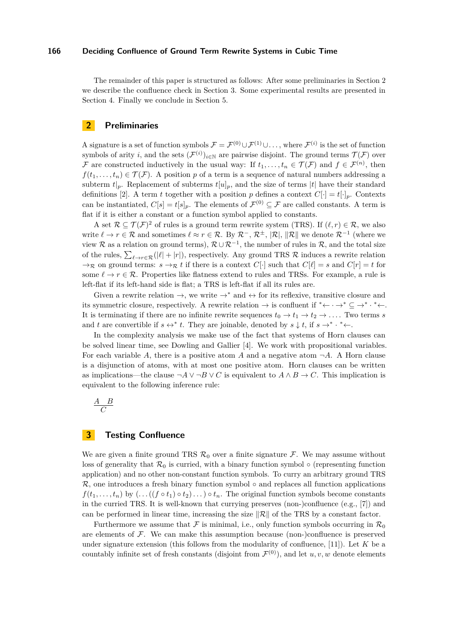The remainder of this paper is structured as follows: After some preliminaries in Section [2](#page-1-0) we describe the confluence check in Section [3.](#page-1-1) Some experimental results are presented in Section [4.](#page-9-0) Finally we conclude in Section [5.](#page-10-6)

# <span id="page-1-0"></span>**2 Preliminaries**

A signature is a set of function symbols  $\mathcal{F} = \mathcal{F}^{(0)} \cup \mathcal{F}^{(1)} \cup \ldots$ , where  $\mathcal{F}^{(i)}$  is the set of function symbols of arity *i*, and the sets  $(\mathcal{F}^{(i)})_{i\in\mathbb{N}}$  are pairwise disjoint. The ground terms  $\mathcal{T}(\mathcal{F})$  over F are constructed inductively in the usual way: If  $t_1, \ldots, t_n \in \mathcal{T}(\mathcal{F})$  and  $f \in \mathcal{F}^{(n)}$ , then  $f(t_1, \ldots, t_n) \in \mathcal{T}(\mathcal{F})$ . A position *p* of a term is a sequence of natural numbers addressing a subterm  $t|_p$ . Replacement of subterms  $t[u]_p$ , and the size of terms  $|t|$  have their standard definitions [\[2\]](#page-10-7). A term *t* together with a position *p* defines a context  $C[\cdot] = t[\cdot]_p$ . Contexts can be instantiated,  $C[s] = t[s]_p$ . The elements of  $\mathcal{F}^{(0)} \subseteq \mathcal{F}$  are called constants. A term is flat if it is either a constant or a function symbol applied to constants.

A set  $\mathcal{R} \subseteq \mathcal{T}(\mathcal{F})^2$  of rules is a ground term rewrite system (TRS). If  $(\ell, r) \in \mathcal{R}$ , we also write  $\ell \to r \in \mathcal{R}$  and sometimes  $\ell \approx r \in \mathcal{R}$ . By  $\mathcal{R}^-$ ,  $\mathcal{R}^{\pm}$ ,  $|\mathcal{R}|$ ,  $\|\mathcal{R}\|$  we denote  $\mathcal{R}^{-1}$  (where we view R as a relation on ground terms),  $\mathcal{R} \cup \mathcal{R}^{-1}$ , the number of rules in R, and the total size of the rules,  $\sum_{\ell \to r \in \mathcal{R}}(|\ell| + |r|)$ , respectively. Any ground TRS R induces a rewrite relation  $\rightarrow$ <sub>R</sub> on ground terms:  $s \rightarrow$ <sub>R</sub> *t* if there is a context *C*[·] such that *C*[ $\ell$ ] = *s* and *C*[*r*] = *t* for some  $\ell \to r \in \mathcal{R}$ . Properties like flatness extend to rules and TRSs. For example, a rule is left-flat if its left-hand side is flat; a TRS is left-flat if all its rules are.

Given a rewrite relation  $\rightarrow$ , we write  $\rightarrow^*$  and  $\leftrightarrow$  for its reflexive, transitive closure and its symmetric closure, respectively. A rewrite relation  $\rightarrow$  is confluent if \* $\leftarrow \rightarrow^* \subseteq \rightarrow^* \rightarrow^* \leftarrow$ . It is terminating if there are no infinite rewrite sequences  $t_0 \to t_1 \to t_2 \to \ldots$  Two terms *s* and *t* are convertible if  $s \leftrightarrow^* t$ . They are joinable, denoted by  $s \downarrow t$ , if  $s \to^* \cdot^* \leftarrow$ .

In the complexity analysis we make use of the fact that systems of Horn clauses can be solved linear time, see Dowling and Gallier [\[4\]](#page-10-8). We work with propositional variables. For each variable A, there is a positive atom A and a negative atom  $\neg A$ . A Horn clause is a disjunction of atoms, with at most one positive atom. Horn clauses can be written as implications—the clause  $\neg A \lor \neg B \lor C$  is equivalent to  $A \land B \to C$ . This implication is equivalent to the following inference rule:

$$
\frac{A \quad B}{C}
$$

# <span id="page-1-1"></span>**3 Testing Confluence**

We are given a finite ground TRS  $\mathcal{R}_0$  over a finite signature  $\mathcal{F}$ . We may assume without loss of generality that  $\mathcal{R}_0$  is curried, with a binary function symbol  $\circ$  (representing function application) and no other non-constant function symbols. To curry an arbitrary ground TRS  $\mathcal{R}$ , one introduces a fresh binary function symbol  $\circ$  and replaces all function applications  $f(t_1, \ldots, t_n)$  by  $(\ldots ((f \circ t_1) \circ t_2) \ldots) \circ t_n$ . The original function symbols become constants in the curried TRS. It is well-known that currying preserves (non-)confluence (e.g., [\[7\]](#page-10-9)) and can be performed in linear time, increasing the size  $\|\mathcal{R}\|$  of the TRS by a constant factor.

Furthermore we assume that F is minimal, i.e., only function symbols occurring in  $\mathcal{R}_0$ are elements of  $\mathcal F$ . We can make this assumption because (non-)confluence is preserved under signature extension (this follows from the modularity of confluence, [\[11\]](#page-10-10)). Let *K* be a countably infinite set of fresh constants (disjoint from  $\mathcal{F}^{(0)}$ ), and let  $u, v, w$  denote elements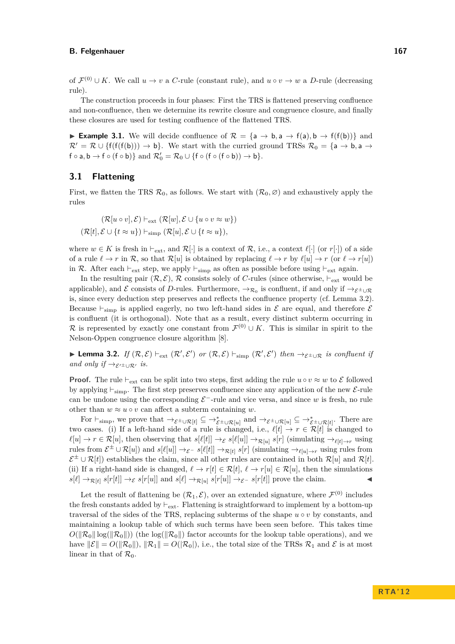of  $\mathcal{F}^{(0)} \cup K$ . We call  $u \to v$  a *C*-rule (constant rule), and  $u \circ v \to w$  a *D*-rule (decreasing rule).

The construction proceeds in four phases: First the TRS is flattened preserving confluence and non-confluence, then we determine its rewrite closure and congruence closure, and finally these closures are used for testing confluence of the flattened TRS.

<span id="page-2-1"></span>**► Example 3.1.** We will decide confluence of  $\mathcal{R} = \{a \rightarrow b, a \rightarrow f(a), b \rightarrow f(f(b))\}$  and  $\mathcal{R}' = \mathcal{R} \cup \{f(f(f(b))) \to b\}.$  We start with the curried ground TRSs  $\mathcal{R}_0 = \{a \to b, a \to c\}$  $f \circ a, b \to f \circ (f \circ b) \}$  and  $\mathcal{R}'_0 = \mathcal{R}_0 \cup \{ f \circ (f \circ (f \circ b)) \to b \}.$ 

## **3.1 Flattening**

First, we flatten the TRS  $\mathcal{R}_0$ , as follows. We start with  $(\mathcal{R}_0, \emptyset)$  and exhaustively apply the rules

$$
(\mathcal{R}[u \circ v], \mathcal{E}) \vdash_{\text{ext}} (\mathcal{R}[w], \mathcal{E} \cup \{u \circ v \approx w\})
$$
  

$$
(\mathcal{R}[t], \mathcal{E} \cup \{t \approx u\}) \vdash_{\text{simp}} (\mathcal{R}[u], \mathcal{E} \cup \{t \approx u\}),
$$

where  $w \in K$  is fresh in  $\vdash_{ext}$ , and  $\mathcal{R}[\cdot]$  is a context of  $\mathcal{R}$ , i.e., a context  $\ell[\cdot]$  (or  $r[\cdot]$ ) of a side of a rule  $\ell \to r$  in R, so that  $\mathcal{R}[u]$  is obtained by replacing  $\ell \to r$  by  $\ell[u] \to r$  (or  $\ell \to r[u]$ ) in R. After each  $\vdash_{ext}$  step, we apply  $\vdash_{simp}$  as often as possible before using  $\vdash_{ext}$  again.

In the resulting pair  $(\mathcal{R}, \mathcal{E}), \mathcal{R}$  consists solely of *C*-rules (since otherwise,  $\vdash_{\text{ext}}$  would be applicable), and  $\mathcal E$  consists of *D*-rules. Furthermore,  $\to_{\mathcal{R}_0}$  is confluent, if and only if  $\to_{\mathcal{E}^{\pm}\cup\mathcal{R}}$ is, since every deduction step preserves and reflects the confluence property (cf. Lemma [3.2\)](#page-2-0). Because  $\vdash_{\text{simp}}$  is applied eagerly, no two left-hand sides in  $\mathcal E$  are equal, and therefore  $\mathcal E$ is confluent (it is orthogonal). Note that as a result, every distinct subterm occurring in R is represented by exactly one constant from  $\mathcal{F}^{(0)} \cup K$ . This is similar in spirit to the Nelson-Oppen congruence closure algorithm [\[8\]](#page-10-11).

<span id="page-2-0"></span>**► Lemma 3.2.** *If*  $(\mathcal{R}, \mathcal{E}) \vdash_{ext} (\mathcal{R}', \mathcal{E}')$  *or*  $(\mathcal{R}, \mathcal{E}) \vdash_{simp} (\mathcal{R}', \mathcal{E}')$  *then*  $\rightarrow_{\mathcal{E}^{\pm} \cup \mathcal{R}}$  *is confluent if and only if*  $\rightarrow$ <sub>*E*' $\pm$ ∪R'</sub> *is.* 

**Proof.** The rule  $\vdash_{ext}$  can be split into two steps, first adding the rule  $u \circ v \approx w$  to  $\mathcal{E}$  followed by applying  $\vdash_{\text{simp.}}$  The first step preserves confluence since any application of the new E-rule can be undone using the corresponding  $\mathcal{E}^-$ -rule and vice versa, and since *w* is fresh, no rule other than  $w \approx u \circ v$  can affect a subterm containing *w*.

For  $\vdash_{\text{simp}}$ , we prove that  $\rightarrow_{\mathcal{E}^{\pm}\cup\mathcal{R}[t]} \subseteq \rightarrow_{\mathcal{E}^{\pm}\cup\mathcal{R}[u]}^*$  and  $\rightarrow_{\mathcal{E}^{\pm}\cup\mathcal{R}[u]} \subseteq \rightarrow_{\mathcal{E}^{\pm}\cup\mathcal{R}[t]}^*$ . There are two cases. (i) If a left-hand side of a rule is changed, i.e.,  $\ell[t] \to r \in \mathcal{R}[t]$  is changed to  $\ell[u] \to r \in \mathcal{R}[u]$ , then observing that  $s[\ell[t]] \to_{\mathcal{E}} s[\ell[u]] \to_{\mathcal{R}[u]} s[r]$  (simulating  $\to_{\ell[t] \to r}$  using rules from  $\mathcal{E}^{\pm} \cup \mathcal{R}[u]$  and  $s[\ell[u]] \to_{\mathcal{E}^{-}} s[\ell[t]] \to_{\mathcal{R}[t]} s[r]$  (simulating  $\to_{\ell[u] \to r}$  using rules from  $\mathcal{E}^{\pm} \cup \mathcal{R}[t]$ ) establishes the claim, since all other rules are contained in both  $\mathcal{R}[u]$  and  $\mathcal{R}[t]$ . (ii) If a right-hand side is changed,  $\ell \to r[t] \in \mathcal{R}[t], \ell \to r[u] \in \mathcal{R}[u]$ , then the simulations  $s[\ell] \rightarrow_{\mathcal{R}[t]} s[r[t]] \rightarrow_{\mathcal{E}} s[r[u]]$  and  $s[\ell] \rightarrow_{\mathcal{R}[u]} s[r[u]] \rightarrow_{\mathcal{E}} s[r[t]]$  prove the claim.

Let the result of flattening be  $(\mathcal{R}_1, \mathcal{E})$ , over an extended signature, where  $\mathcal{F}^{(0)}$  includes the fresh constants added by  $\vdash_{ext}$ . Flattening is straightforward to implement by a bottom-up traversal of the sides of the TRS, replacing subterms of the shape  $u \circ v$  by constants, and maintaining a lookup table of which such terms have been seen before. This takes time  $O(||\mathcal{R}_0|| \log(||\mathcal{R}_0||))$  (the log( $||\mathcal{R}_0||$ ) factor accounts for the lookup table operations), and we have  $\|\mathcal{E}\| = O(\|\mathcal{R}_0\|), \|\mathcal{R}_1\| = O(\|\mathcal{R}_0\|),$  i.e., the total size of the TRSs  $\mathcal{R}_1$  and  $\mathcal E$  is at most linear in that of  $\mathcal{R}_0$ .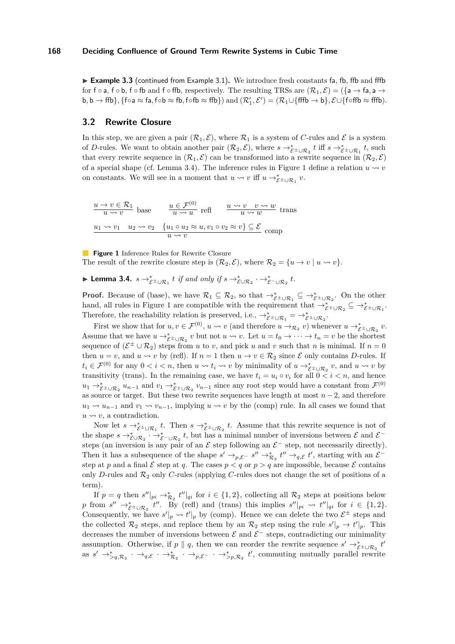<span id="page-3-2"></span>► Example 3.3 (continued from Example [3.1\)](#page-2-1). We introduce fresh constants fa, fb, ffb and fffb for  $f \circ a$ ,  $f \circ b$ ,  $f \circ f b$  and  $f \circ f f b$ , respectively. The resulting TRSs are  $(\mathcal{R}_1, \mathcal{E}) = (\{a \to f a, a \to f b\})$  $\mathsf{b}, \mathsf{b} \to \mathsf{ffb} \}, \{\mathsf{foa} \approx \mathsf{fa}, \mathsf{fob} \approx \mathsf{fb}, \mathsf{fofb} \approx \mathsf{ffb} \}) \text{ and } (\mathcal{R}_1', \mathcal{E}') = (\mathcal{R}_1 \cup \{\mathsf{fffb} \to \mathsf{b}\}, \mathcal{E} \cup \{\mathsf{f\circ ffb} \approx \mathsf{fffb}).$ 

## <span id="page-3-3"></span>**3.2 Rewrite Closure**

In this step, we are given a pair  $(\mathcal{R}_1, \mathcal{E})$ , where  $\mathcal{R}_1$  is a system of *C*-rules and  $\mathcal{E}$  is a system of *D*-rules. We want to obtain another pair  $(\mathcal{R}_2, \mathcal{E})$ , where  $s \to_{\mathcal{E}^{\pm} \cup \mathcal{R}_2}^* t$  iff  $s \to_{\mathcal{E}^{\pm} \cup \mathcal{R}_1}^* t$ , such that every rewrite sequence in  $(\mathcal{R}_1, \mathcal{E})$  can be transformed into a rewrite sequence in  $(\mathcal{R}_2, \mathcal{E})$ of a special shape (cf. Lemma [3.4\)](#page-3-0). The inference rules in Figure [1](#page-3-1) define a relation  $u \rightarrow v$ on constants. We will see in a moment that  $u \leadsto v$  iff  $u \to_{\mathcal{E}^{\pm} \cup \mathcal{R}_1}^{\ast} v$ .

<span id="page-3-1"></span> $u \to v \in \mathcal{R}_1$  $\frac{\partial v}{\partial u} \times \frac{\partial v}{\partial v} = \frac{u}{u} \frac{\partial v}{\partial u} \frac{\partial v}{\partial v}$  refl  $\frac{u \rightsquigarrow v \quad v \rightsquigarrow w}{u \rightsquigarrow w}$  trans  $u_1 \rightsquigarrow v_1 \quad u_2 \rightsquigarrow v_2 \quad \{u_1 \circ u_2 \approx u, v_1 \circ v_2 \approx v\} \subseteq \mathcal{E}$  $\frac{u_1 \circ u_2 \circ u_1, v_1 \circ v_2 \circ v_1 \leq c}{u \leadsto v}$  comp

**Figure 1** Inference Rules for Rewrite Closure

The result of the rewrite closure step is  $(\mathcal{R}_2, \mathcal{E})$ , where  $\mathcal{R}_2 = \{u \to v \mid u \leadsto v\}$ .

<span id="page-3-0"></span>► Lemma 3.4.  $s \to_{\mathcal{E}^\pm \cup \mathcal{R}_1}^* t$  *if and only if*  $s \to_{\mathcal{E} \cup \mathcal{R}_2}^* \cdot \to_{\mathcal{E}^- \cup \mathcal{R}_2}^* t$ .

**Proof.** Because of (base), we have  $\mathcal{R}_1 \subseteq \mathcal{R}_2$ , so that  $\rightarrow_{\mathcal{E}^\pm \cup \mathcal{R}_1}^* \subseteq \rightarrow_{\mathcal{E}^\pm \cup \mathcal{R}_2}^*$ . On the other hand, all rules in Figure [1](#page-3-1) are compatible with the requirement that  $\rightarrow_{\mathcal{E}^{\pm}\cup\mathcal{R}_{2}}^{\ast}\subseteq\rightarrow_{\mathcal{E}^{\pm}\cup\mathcal{R}_{1}}^{\ast}$ . Therefore, the reachability relation is preserved, i.e.,  $\rightarrow_{\mathcal{E}^{\pm}\cup\mathcal{R}_{1}}^{*} = \rightarrow_{\mathcal{E}^{\pm}\cup\mathcal{R}_{2}}^{*}$ .

First we show that for  $u, v \in \mathcal{F}^{(0)}$ ,  $u \leadsto v$  (and therefore  $u \to_{\mathcal{R}_2} v$ ) whenever  $u \to_{\mathcal{E}_\pm \cup \mathcal{R}_2} v$ . Assume that we have  $u \to_{\mathcal{E}^{\pm} \cup \mathcal{R}_2}^* v$  but not  $u \leadsto v$ . Let  $u = t_0 \to \cdots \to t_n = v$  be the shortest sequence of  $(\mathcal{E}^{\pm} \cup \mathcal{R}_2)$  steps from *u* to *v*, and pick *u* and *v* such that *n* is minimal. If  $n = 0$ then  $u = v$ , and  $u \rightsquigarrow v$  by (refl). If  $n = 1$  then  $u \rightarrow v \in \mathcal{R}_2$  since  $\mathcal E$  only contains *D*-rules. If  $t_i \in \mathcal{F}^{(0)}$  for any  $0 < i < n$ , then  $u \leadsto t_i \leadsto v$  by minimality of  $u \to_{\mathcal{E}^{\pm} \cup \mathcal{R}_2}^* v$ , and  $u \leadsto v$  by transitivity (trans). In the remaining case, we have  $t_i = u_i \circ v_i$  for all  $0 \leq i \leq n$ , and hence  $u_1 \rightarrow_{\mathcal{E}^\pm \cup \mathcal{R}_2}^* u_{n-1}$  and  $v_1 \rightarrow_{\mathcal{E}^\pm \cup \mathcal{R}_2}^* v_{n-1}$  since any root step would have a constant from  $\mathcal{F}^{(0)}$ as source or target. But these two rewrite sequences have length at most *n* − 2, and therefore  $u_1 \rightsquigarrow u_{n-1}$  and  $v_1 \rightsquigarrow v_{n-1}$ , implying  $u \rightsquigarrow v$  by the (comp) rule. In all cases we found that  $u \rightsquigarrow v$ , a contradiction.

Now let  $s \to_{\mathcal{E}^{\pm} \cup \mathcal{R}_1}^{\ast} t$ . Then  $s \to_{\mathcal{E}^{\pm} \cup \mathcal{R}_2}^{\ast} t$ . Assume that this rewrite sequence is not of the shape  $s \to_{\mathcal{E} \cup \mathcal{R}_2}^* \cdot \to_{\mathcal{E}^- \cup \mathcal{R}_2}^* t$ , but has a minimal number of inversions between  $\mathcal{E}$  and  $\mathcal{E}^$ steps (an inversion is any pair of an  $\mathcal E$  step following an  $\mathcal E^-$  step, not necessarily directly). Then it has a subsequence of the shape  $s' \to_{p,\mathcal{E}^-} s'' \to_{\mathcal{R}_2}^* t'' \to_{q,\mathcal{E}} t'$ , starting with an  $\mathcal{E}^$ step at *p* and a final  $\mathcal E$  step at *q*. The cases  $p < q$  or  $p > q$  are impossible, because  $\mathcal E$  contains only *D*-rules and  $\mathcal{R}_2$  only *C*-rules (applying *C*-rules does not change the set of positions of a term).

If  $p = q$  then  $s''|_{pi} \to_{\mathcal{R}_2}^* t''|_{qi}$  for  $i \in \{1,2\}$ , collecting all  $\mathcal{R}_2$  steps at positions below *p* from  $s'' \to_{\mathcal{E}^\pm \cup \mathcal{R}_2}^* t''$ . By (refl) and (trans) this implies  $s''|_{pi} \rightsquigarrow t''|_{qi}$  for  $i \in \{1,2\}$ . Consequently, we have  $s'|_p \rightsquigarrow t'|_p$  by (comp). Hence we can delete the two  $\mathcal{E}^{\pm}$  steps and the collected  $\mathcal{R}_2$  steps, and replace them by an  $\mathcal{R}_2$  step using the rule  $s'|_p \to t'|_p$ . This decreases the number of inversions between  $\mathcal E$  and  $\mathcal E^-$  steps, contradicting our minimality assumption. Otherwise, if  $p \parallel q$ , then we can reorder the rewrite sequence  $s' \rightarrow_{\mathcal{E}^{\pm} \cup \mathcal{R}_2}^* t'$ as  $s' \rightarrow_{>q,\mathcal{R}_2}^* \cdot \rightarrow_{q,\mathcal{E}}^* \cdot \rightarrow_{p,\mathcal{E}}^* \cdot \rightarrow_{>p,\mathcal{R}_2}^* t'$ , commuting mutually parallel rewrite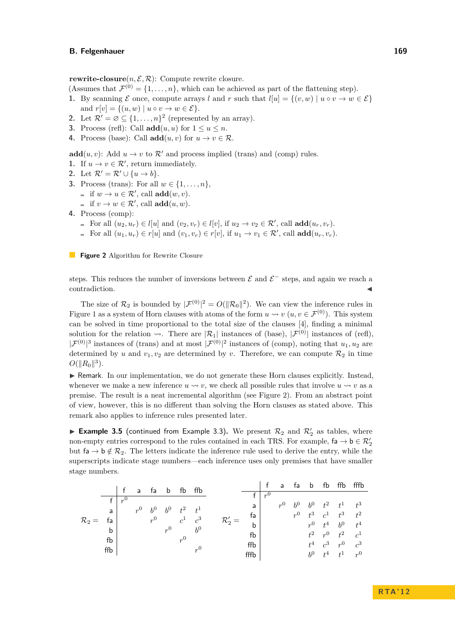<span id="page-4-0"></span>**rewrite-closure** $(n, \mathcal{E}, \mathcal{R})$ : Compute rewrite closure.

- (Assumes that  $\mathcal{F}^{(0)} = \{1, \ldots, n\}$ , which can be achieved as part of the flattening step).
- **1.** By scanning  $\mathcal{E}$  once, compute arrays *l* and *r* such that  $l[u] = \{(v, w) | u \circ v \to w \in \mathcal{E}\}\$ and  $r[v] = \{(u, w) \mid u \circ v \to w \in \mathcal{E}\}.$
- **2.** Let  $\mathcal{R}' = \emptyset \subseteq \{1, ..., n\}^2$  (represented by an array).
- **3.** Process (refl): Call  $\text{add}(u, u)$  for  $1 \le u \le n$ .
- **4.** Process (base): Call **add** $(u, v)$  for  $u \to v \in \mathcal{R}$ .

**add** $(u, v)$ : Add  $u \to v$  to  $\mathcal{R}'$  and process implied (trans) and (comp) rules.

- **1.** If  $u \to v \in \mathcal{R}'$ , return immediately.
- 2. Let  $\mathcal{R}' = \mathcal{R}' \cup \{u \to b\}.$
- **3.** Process (trans): For all  $w \in \{1, \ldots, n\}$ , if  $w \to u \in \mathcal{R}'$ , call **add** $(w, v)$ .
	- if  $v \to w \in \mathcal{R}'$ , call **add** $(u, w)$ .
- **4.** Process (comp):
	- For all  $(u_2, u_r) \in l[u]$  and  $(v_2, v_r) \in l[v]$ , if  $u_2 \to v_2 \in \mathcal{R}'$ , call  $\mathbf{add}(u_r, v_r)$ .
	- For all  $(u_1, u_r) \in r[u]$  and  $(v_1, v_r) \in r[v]$ , if  $u_1 \to v_1 \in \mathcal{R}'$ , call  $\mathbf{add}(u_r, v_r)$ .

**Figure 2** Algorithm for Rewrite Closure

steps. This reduces the number of inversions between  $\mathcal E$  and  $\mathcal E^-$  steps, and again we reach a contradiction.

The size of  $\mathcal{R}_2$  is bounded by  $|\mathcal{F}^{(0)}|^2 = O(||\mathcal{R}_0||^2)$ . We can view the inference rules in Figure [1](#page-3-1) as a system of Horn clauses with atoms of the form  $u \leadsto v$  ( $u, v \in \mathcal{F}^{(0)}$ ). This system can be solved in time proportional to the total size of the clauses [\[4\]](#page-10-8), finding a minimal solution for the relation  $\rightsquigarrow$ . There are  $|\mathcal{R}_1|$  instances of (base),  $|\mathcal{F}^{(0)}|$  instances of (refl),  $|\mathcal{F}^{(0)}|^3$  instances of (trans) and at most  $|\mathcal{F}^{(0)}|^2$  instances of (comp), noting that  $u_1, u_2$  are determined by *u* and  $v_1, v_2$  are determined by *v*. Therefore, we can compute  $\mathcal{R}_2$  in time  $O(||R_0||^3)$ .

 $\blacktriangleright$  Remark. In our implementation, we do not generate these Horn clauses explicitly. Instead, whenever we make a new inference  $u \leadsto v$ , we check all possible rules that involve  $u \leadsto v$  as a premise. The result is a neat incremental algorithm (see Figure [2\)](#page-4-0). From an abstract point of view, however, this is no different than solving the Horn clauses as stated above. This remark also applies to inference rules presented later.

<span id="page-4-1"></span>**Example 3.5** (continued from Example [3.3\)](#page-3-2). We present  $\mathcal{R}_2$  and  $\mathcal{R}_2'$  as tables, where non-empty entries correspond to the rules contained in each TRS. For example,  $fa \rightarrow b \in \mathcal{R}'_2$ but  $f_a \rightarrow b \notin \mathcal{R}_2$ . The letters indicate the inference rule used to derive the entry, while the superscripts indicate stage numbers—each inference uses only premises that have smaller stage numbers.

|                   |     |       |             |       | fa b  | fb             | ffb            |                   |         | a           | fa | b           | fb                | ffb   | fffb           |
|-------------------|-----|-------|-------------|-------|-------|----------------|----------------|-------------------|---------|-------------|----|-------------|-------------------|-------|----------------|
|                   |     |       | a           |       |       |                |                |                   | $n^{0}$ |             |    |             |                   |       |                |
| $\mathcal{R}_2 =$ |     | $n^0$ |             |       |       |                |                |                   |         | $r^0$ $b^0$ |    | $b^0$       | $t^2$             | $t^1$ | $t^3$          |
|                   | a   |       | $r^0$ $b^0$ |       | $b^0$ | $t^2$          | $t^1$          | a                 |         |             |    |             |                   |       |                |
|                   |     |       |             |       |       |                | fa             |                   |         | $r^0$ $t^3$ |    | $c^1$       | $-t^3$            | $t^2$ |                |
|                   | fa  |       |             | $r^0$ |       | $c^1$<br>$r^0$ | $c^3$<br>$b^0$ | $\mathcal{R}'_2=$ |         |             |    | $r^0$ $t^4$ |                   | $b^0$ | $t^4$          |
|                   | b   |       |             |       | $r^0$ |                |                | b                 |         |             |    |             |                   |       |                |
|                   |     |       |             |       |       |                |                | fb                |         |             |    | $t^2$       | $r^0$ $t^2$       |       | c <sup>1</sup> |
|                   | fb  |       |             |       |       |                | $r^{0}$        |                   |         |             |    |             | $t^4$ $c^3$ $r^0$ |       | $c^3$          |
|                   | ffb |       |             |       |       |                |                | ffb               |         |             |    |             |                   |       |                |
|                   |     |       |             |       |       |                |                | fffb              |         |             |    |             | $b^0$ $t^4$ $t^1$ |       | $r^0$          |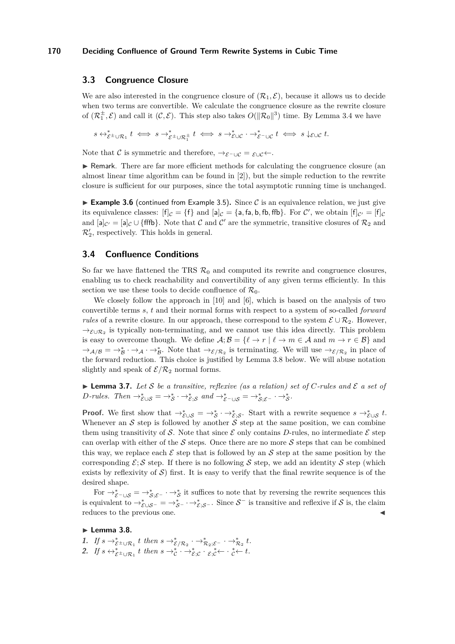# **3.3 Congruence Closure**

We are also interested in the congruence closure of  $(\mathcal{R}_1, \mathcal{E})$ , because it allows us to decide when two terms are convertible. We calculate the congruence closure as the rewrite closure of  $(\mathcal{R}_1^{\pm}, \mathcal{E})$  and call it  $(\mathcal{C}, \mathcal{E})$ . This step also takes  $O(||\mathcal{R}_0||^3)$  time. By Lemma [3.4](#page-3-0) we have

 $s \leftrightarrow_{\mathcal{E}^{\pm} \cup \mathcal{R}_{1}}^{\ast} t \iff s \to_{\mathcal{E}^{\pm} \cup \mathcal{R}_{1}^{\pm}}^{\ast} t \iff s \to_{\mathcal{E} \cup \mathcal{C}}^{\ast} \cdot \to_{\mathcal{E}^{-} \cup \mathcal{C}}^{\ast} t \iff s \downarrow_{\mathcal{E} \cup \mathcal{C}} t.$ 

Note that C is symmetric and therefore,  $\rightarrow_{\mathcal{E}^-\cup\mathcal{C}} = \varepsilon \cup \mathcal{C} \leftarrow$ .

In Remark. There are far more efficient methods for calculating the congruence closure (an almost linear time algorithm can be found in [\[2\]](#page-10-7)), but the simple reduction to the rewrite closure is sufficient for our purposes, since the total asymptotic running time is unchanged.

<span id="page-5-2"></span>**Example 3.6** (continued from Example [3.5\)](#page-4-1). Since C is an equivalence relation, we just give its equivalence classes:  $[f]_C = \{f\}$  and  $[a]_C = \{a, fa, b, fb, ffb\}$ . For C', we obtain  $[f]_{C'} = [f]_C$ and  $[a]_{\mathcal{C}'} = [a]_{\mathcal{C}} \cup \{\text{fffb}\}\.$  Note that  $\mathcal{C}$  and  $\mathcal{C}'$  are the symmetric, transitive closures of  $\mathcal{R}_2$  and  $\mathcal{R}_2'$ , respectively. This holds in general.

# **3.4 Confluence Conditions**

So far we have flattened the TRS  $\mathcal{R}_0$  and computed its rewrite and congruence closures, enabling us to check reachability and convertibility of any given terms efficiently. In this section we use these tools to decide confluence of  $\mathcal{R}_0$ .

We closely follow the approach in [\[10\]](#page-10-2) and [\[6\]](#page-10-3), which is based on the analysis of two convertible terms *s*, *t* and their normal forms with respect to a system of so-called *forward rules* of a rewrite closure. In our approach, these correspond to the system  $\mathcal{E} \cup \mathcal{R}_2$ . However,  $\rightarrow_{\mathcal{E}\cup\mathcal{R}_2}$  is typically non-terminating, and we cannot use this idea directly. This problem is easy to overcome though. We define  $\mathcal{A}; \mathcal{B} = \{ \ell \to r \mid \ell \to m \in \mathcal{A} \text{ and } m \to r \in \mathcal{B} \}$  and  $\rightarrow_{\mathcal{A}/\mathcal{B}} \rightarrow_{\mathcal{B}} \rightarrow_{\mathcal{A}} \rightarrow_{\mathcal{B}}$ . Note that  $\rightarrow_{\mathcal{E}/\mathcal{R}_2}$  is terminating. We will use  $\rightarrow_{\mathcal{E}/\mathcal{R}_2}$  in place of the forward reduction. This choice is justified by Lemma [3.8](#page-5-0) below. We will abuse notation slightly and speak of  $\mathcal{E}/\mathcal{R}_2$  normal forms.

<span id="page-5-1"></span> $\blacktriangleright$  **Lemma 3.7.** Let S be a transitive, reflexive (as a relation) set of C-rules and  $\mathcal{E}$  a set of *D*-rules. Then  $\rightarrow_{\mathcal{E}\cup\mathcal{S}}^* = \rightarrow_{\mathcal{S}}^* \cdot \rightarrow_{\mathcal{E};\mathcal{S}}^*$  and  $\rightarrow_{\mathcal{E}^-\cup\mathcal{S}}^* = \rightarrow_{\mathcal{S};\mathcal{E}^-}^* \cdot \rightarrow_{\mathcal{S}}^*$ .

**Proof.** We first show that  $\rightarrow_{\mathcal{E}\cup\mathcal{S}}^* = \rightarrow_{\mathcal{S}}^* \cdot \rightarrow_{\mathcal{E};\mathcal{S}}^*$ . Start with a rewrite sequence  $s \rightarrow_{\mathcal{E}\cup\mathcal{S}}^* t$ . Whenever an  $S$  step is followed by another  $S$  step at the same position, we can combine them using transitivity of S. Note that since  $\mathcal E$  only contains D-rules, no intermediate  $\mathcal E$  step can overlap with either of the  $S$  steps. Once there are no more  $S$  steps that can be combined this way, we replace each  $\mathcal E$  step that is followed by an  $\mathcal S$  step at the same position by the corresponding  $\mathcal{E}; \mathcal{S}$  step. If there is no following  $\mathcal{S}$  step, we add an identity  $\mathcal{S}$  step (which exists by reflexivity of  $S$ ) first. It is easy to verify that the final rewrite sequence is of the desired shape.

For  $\rightarrow_{\mathcal{E}^- \cup \mathcal{S}}^* = \rightarrow_{\mathcal{S};\mathcal{E}^-}^* \rightarrow_{\mathcal{S}}^*$  it suffices to note that by reversing the rewrite sequences this is equivalent to  $\rightarrow_{\mathcal{E}\cup\mathcal{S}^-}^* = \rightarrow_{\mathcal{S}^-}^* \cdot \rightarrow_{\mathcal{E};\mathcal{S}^-}^*$ . Since  $\mathcal{S}^-$  is transitive and reflexive if  $\mathcal{S}$  is, the claim reduces to the previous one.

## <span id="page-5-0"></span>**Lemma 3.8.**

- 1. If  $s \to_{\mathcal{E}^\pm \cup \mathcal{R}_1}^* t$  then  $s \to_{\mathcal{E}/\mathcal{R}_2}^* \cdot \to_{\mathcal{R}_2; \mathcal{E}^-}^* \cdot \to_{\mathcal{R}_2}^* t$ .
- 2. If  $s \leftrightarrow_{\mathcal{E}^{\pm} \cup \mathcal{R}_1}^* t$  then  $s \rightarrow_{\mathcal{C}}^* \cdot \rightarrow_{\mathcal{E};\mathcal{C}}^* \cdot \varepsilon \varepsilon \leftarrow \cdot \varepsilon \leftarrow t$ .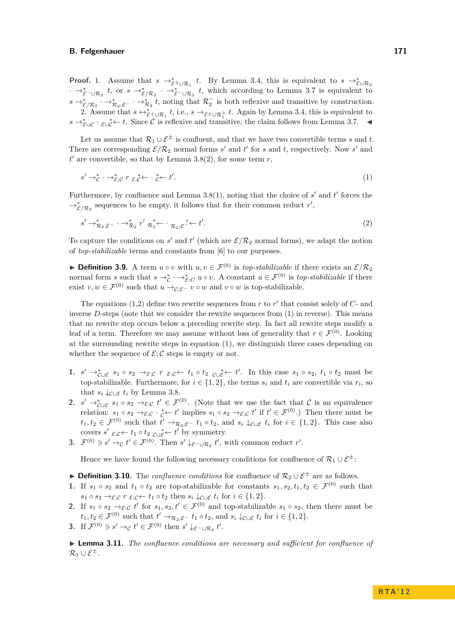**Proof.** 1. Assume that  $s \to_{\mathcal{E}^{\pm} \cup \mathcal{R}_1}^* t$ . By Lemma [3.4,](#page-3-0) this is equivalent to  $s \to_{\mathcal{E} \cup \mathcal{R}_2}^* s$  $\cdot \rightarrow_{\mathcal{E}^- \cup \mathcal{R}_2}^* t$ , or  $s \rightarrow_{\mathcal{E}/\mathcal{R}_2}^* \cdot \rightarrow_{\mathcal{E}^- \cup \mathcal{R}_2}^* t$ , which according to Lemma [3.7](#page-5-1) is equivalent to  $s \to_{\mathcal{E}/\mathcal{R}_2}^* \cdot \to_{\mathcal{R}_2,\mathcal{E}^-}^* \cdot \to_{\mathcal{R}_2}^* t$ , noting that  $\mathcal{R}_2^-$  is both reflexive and transitive by construction. 2. Assume that  $s \leftrightarrow_{\mathcal{E}^{\pm} \cup \mathcal{R}_1}^* t$ , i.e.,  $s \to_{\mathcal{E}^{\pm} \cup \mathcal{R}_1^{\pm}} t$ . Again by Lemma [3.4,](#page-3-0) this is equivalent to  $s \rightarrow_{\mathcal{E} \cup \mathcal{C}}^* \cdot \mathcal{E} \cup_{\mathcal{C}}^* \leftarrow t$ . Since C is reflexive and transitive, the claim follows from Lemma [3.7.](#page-5-1)  $\blacktriangleleft$ 

Let us assume that  $\mathcal{R}_1 \cup \mathcal{E}^{\pm}$  is confluent, and that we have two convertible terms *s* and *t*. There are corresponding  $\mathcal{E}/\mathcal{R}_2$  normal forms *s'* and *t'* for *s* and *t*, respectively. Now *s'* and  $t'$  are convertible, so that by Lemma [3.8\(](#page-5-0)2), for some term  $r$ ,

<span id="page-6-1"></span><span id="page-6-0"></span>
$$
s' \to_{\mathcal{E}}^* \cdot \to_{\mathcal{E};\mathcal{C}}^* r_{\mathcal{E};\mathcal{C}}^* \leftarrow \cdot_{\mathcal{C}}^* \leftarrow t'.
$$

Furthermore, by confluence and Lemma  $3.8(1)$ , noting that the choice of  $s'$  and  $t'$  forces the  $\rightarrow_{\mathcal{E}/\mathcal{R}_2}^*$  sequences to be empty, it follows that for their common reduct *r'*,

$$
s' \to_{\mathcal{R}_2; \mathcal{E}^-}^* \cdot \to_{\mathcal{R}_2}^* r' \mathcal{R}_2^* \leftarrow \cdot \mathcal{R}_2; \varepsilon^* \leftarrow t'.
$$

To capture the conditions on  $s'$  and  $t'$  (which are  $\mathcal{E}/\mathcal{R}_2$  normal forms), we adapt the notion of *top-stabilizable* terms and constants from [\[6\]](#page-10-3) to our purposes.

**► Definition 3.9.** A term  $u \circ v$  with  $u, v \in \mathcal{F}^{(0)}$  is *top-stabilizable* if there exists an  $\mathcal{E}/\mathcal{R}_2$ normal form *s* such that  $s \to^*_{\mathcal{E}} \cdot \to^*_{\mathcal{E};C} u \circ v$ . A constant  $u \in \mathcal{F}^{(0)}$  is *top-stabilizable* if there exist  $v, w \in \mathcal{F}^{(0)}$  such that  $u \to_{\mathcal{C}:\mathcal{E}^-} v \circ w$  and  $v \circ w$  is top-stabilizable.

The equations  $(1,2)$  $(1,2)$  define two rewrite sequences from  $r$  to  $r'$  that consist solely of  $C$ - and inverse *D*-steps (note that we consider the rewrite sequences from [\(1\)](#page-6-0) in reverse). This means that no rewrite step occurs below a preceding rewrite step. In fact all rewrite steps modify a leaf of a term. Therefore we may assume without loss of generality that  $r \in \mathcal{F}^{(0)}$ . Looking at the surrounding rewrite steps in equation [\(1\)](#page-6-0), we distinguish three cases depending on whether the sequence of  $\mathcal{E}; \mathcal{C}$  steps is empty or not.

- 1.  $s' \rightarrow_{\mathcal{C} \cup \mathcal{E}}^s s_1 \circ s_2 \rightarrow_{\mathcal{E};\mathcal{C}}^s r \varepsilon_{\mathcal{C}} \leftarrow t_1 \circ t_2 \varepsilon_{\mathcal{C} \cup \mathcal{E}}^* \leftarrow t'$ . In this case  $s_1 \circ s_2, t_1 \circ t_2$  must be top-stabilizable. Furthermore, for  $i \in \{1, 2\}$ , the terms  $s_i$  and  $t_i$  are convertible via  $r_i$ , so that  $s_i \downarrow_{\mathcal{C} \cup \mathcal{E}} t_i$  by Lemma [3.8.](#page-5-0)
- **2.**  $s' \rightarrow_{\mathcal{C} \cup \mathcal{E}}^s s_1 \circ s_2 \rightarrow_{\mathcal{E}, \mathcal{C}}^s t' \in \mathcal{F}^{(0)}$ . (Note that we use the fact that C is an equivalence relation:  $s_1 \circ s_2 \to_{\mathcal{E};\mathcal{C}} \cdot \underset{\mathcal{C}}{\ast} \leftarrow t'$  implies  $s_1 \circ s_2 \to_{\mathcal{E};\mathcal{C}} t'$  if  $t' \in \mathcal{F}^{(0)}$ .) Then there must be  $t_1, t_2 \in \mathcal{F}^{(0)}$  such that  $t' \to_{\mathcal{R}_2; \mathcal{E}^-} t_1 \circ t_2$ , and  $s_i \downarrow_{\mathcal{C} \cup \mathcal{E}} t_i$  for  $i \in \{1, 2\}$ . This case also covers  $s'$   $\varepsilon$ <sub>;</sub> $c \leftarrow t_1 \circ t_2$   $c \cup \varepsilon$ <sup>\*</sup>  $t'$  by symmetry.
- **3.**  $\mathcal{F}^{(0)} \ni s' \to_c t' \in \mathcal{F}^{(0)}$ . Then  $s' \downarrow_{\mathcal{E}^{-} \cup \mathcal{R}_2} t'$ , with common reduct  $r'$ .

Hence we have found the following necessary conditions for confluence of  $\mathcal{R}_1 \cup \mathcal{E}^{\pm}$ :

- **► Definition 3.10.** The *confluence conditions* for confluence of  $\mathcal{R}_2 \cup \mathcal{E}^{\pm}$  are as follows.
- **1.** If  $s_1 \circ s_2$  and  $t_1 \circ t_2$  are top-stabilizable for constants  $s_1, s_2, t_1, t_2 \in \mathcal{F}^{(0)}$  such that  $s_1 \circ s_2 \rightarrow_{\mathcal{E};\mathcal{C}} r \varepsilon_i \varepsilon \leftarrow t_1 \circ t_2$  then  $s_i \downarrow_{\mathcal{C} \cup \mathcal{E}} t_i$  for  $i \in \{1,2\}.$
- **2.** If  $s_1 \circ s_2 \to_{\mathcal{E};\mathcal{C}} t'$  for  $s_1, s_2, t' \in \mathcal{F}^{(0)}$  and top-stabilizable  $s_1 \circ s_2$ , then there must be  $t_1, t_2 \in \mathcal{F}^{(0)}$  such that  $t' \to_{\mathcal{R}_2; \mathcal{E}^-} t_1 \circ t_2$ , and  $s_i \downarrow_{\mathcal{C} \cup \mathcal{E}} t_i$  for  $i \in \{1, 2\}.$
- **3.** If  $\mathcal{F}^{(0)} \ni s' \to_c t' \in \mathcal{F}^{(0)}$  then  $s' \downarrow_{\mathcal{E}^{-} \cup \mathcal{R}_2} t'.$

I **Lemma 3.11.** *The confluence conditions are necessary and sufficient for confluence of*  $\mathcal{R}_1 \cup \mathcal{E}^{\pm}$ .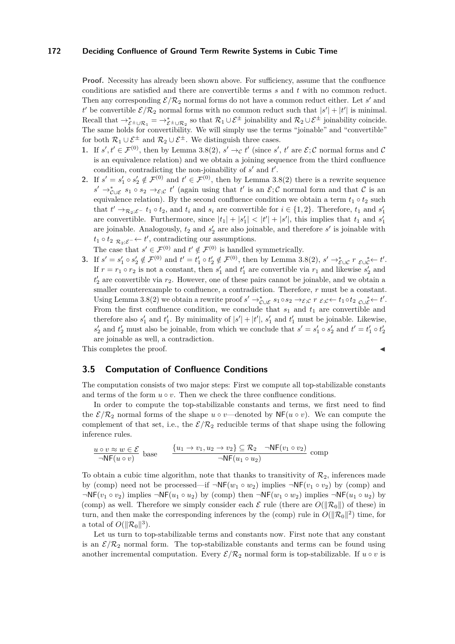**Proof.** Necessity has already been shown above. For sufficiency, assume that the confluence conditions are satisfied and there are convertible terms *s* and *t* with no common reduct. Then any corresponding  $\mathcal{E}/\mathcal{R}_2$  normal forms do not have a common reduct either. Let *s'* and *t*' be convertible  $\mathcal{E}/\mathcal{R}_2$  normal forms with no common reduct such that  $|s'| + |t'|$  is minimal. Recall that  $\rightarrow_{\mathcal{E}^{\pm}\cup\mathcal{R}_1}^* = \rightarrow_{\mathcal{E}^{\pm}\cup\mathcal{R}_2}^*$  so that  $\mathcal{R}_1\cup\mathcal{E}^{\pm}$  joinability and  $\mathcal{R}_2\cup\mathcal{E}^{\pm}$  joinability coincide. The same holds for convertibility. We will simply use the terms "joinable" and "convertible" for both  $\mathcal{R}_1 \cup \mathcal{E}^{\pm}$  and  $\mathcal{R}_2 \cup \mathcal{E}^{\pm}$ . We distinguish three cases.

- **1.** If  $s', t' \in \mathcal{F}^{(0)}$ , then by Lemma [3.8\(](#page-5-0)2),  $s' \rightarrow_c t'$  (since  $s', t'$  are  $\mathcal{E}; \mathcal{C}$  normal forms and  $\mathcal{C}$ is an equivalence relation) and we obtain a joining sequence from the third confluence condition, contradicting the non-joinability of  $s'$  and  $t'$ .
- **2.** If  $s' = s'_1 \circ s'_2 \notin \mathcal{F}^{(0)}$  and  $t' \in \mathcal{F}^{(0)}$ , then by Lemma [3.8\(](#page-5-0)2) there is a rewrite sequence  $s' \rightarrow_{\mathcal{C} \cup \mathcal{E}}^* s_1 \circ s_2 \rightarrow_{\mathcal{E};\mathcal{C}} t'$  (again using that  $t'$  is an  $\mathcal{E};\mathcal{C}$  normal form and that  $\mathcal{C}$  is an equivalence relation). By the second confluence condition we obtain a term  $t_1 \circ t_2$  such that  $t' \rightarrow_{\mathcal{R}_2; \mathcal{E}^-} t_1 \circ t_2$ , and  $t_i$  and  $s_i$  are convertible for  $i \in \{1, 2\}$ . Therefore,  $t_1$  and  $s'_1$ are convertible. Furthermore, since  $|t_1| + |s'_1| < |t'| + |s'|$ , this implies that  $t_1$  and  $s'_1$ are joinable. Analogously,  $t_2$  and  $s'_2$  are also joinable, and therefore  $s'$  is joinable with  $t_1 \circ t_2$   $\mathcal{R}_2$ ; $\varepsilon$ <sup>-</sup> ←  $t'$ , contradicting our assumptions.

The case that  $s' \in \mathcal{F}^{(0)}$  and  $t' \notin \mathcal{F}^{(0)}$  is handled symmetrically.

3. If  $s' = s'_1 \circ s'_2 \notin \mathcal{F}^{(0)}$  and  $t' = t'_1 \circ t'_2 \notin \mathcal{F}^{(0)}$ , then by Lemma [3.8\(](#page-5-0)2),  $s' \to_{\mathcal{E} \cup \mathcal{C}}^* r_{\mathcal{E} \cup \mathcal{C}}^* \leftarrow t'.$ If  $r = r_1 \circ r_2$  is not a constant, then  $s'_1$  and  $t'_1$  are convertible via  $r_1$  and likewise  $s'_2$  and  $t_2'$  are convertible via  $r_2$ . However, one of these pairs cannot be joinable, and we obtain a smaller counterexample to confluence, a contradiction. Therefore, *r* must be a constant. Using Lemma [3.8\(](#page-5-0)2) we obtain a rewrite proof  $s' \rightarrow_{\mathcal{C} \cup \mathcal{E}}^* s_1 \circ s_2 \rightarrow_{\mathcal{E};\mathcal{C}} r_{\mathcal{E};\mathcal{C}} \leftarrow t_1 \circ t_2 \circ \mathcal{E} \leftarrow t'.$ From the first confluence condition, we conclude that  $s_1$  and  $t_1$  are convertible and therefore also  $s'_1$  and  $t'_1$ . By minimality of  $|s'| + |t'|$ ,  $s'_1$  and  $t'_1$  must be joinable. Likewise,  $s'_2$  and  $t'_2$  must also be joinable, from which we conclude that  $s' = s'_1 \circ s'_2$  and  $t' = t'_1 \circ t'_2$ are joinable as well, a contradiction.

This completes the proof.

## **3.5 Computation of Confluence Conditions**

The computation consists of two major steps: First we compute all top-stabilizable constants and terms of the form  $u \circ v$ . Then we check the three confluence conditions.

In order to compute the top-stabilizable constants and terms, we first need to find the  $\mathcal{E}/\mathcal{R}_2$  normal forms of the shape *u*  $\circ v$ —denoted by NF(*u*  $\circ v$ ). We can compute the complement of that set, i.e., the  $\mathcal{E}/\mathcal{R}_2$  reducible terms of that shape using the following inference rules.

$$
\frac{u \circ v \approx w \in \mathcal{E}}{\neg \mathsf{NF}(u \circ v)} \text{ base } \qquad \frac{\{u_1 \rightarrow v_1, u_2 \rightarrow v_2\} \subseteq \mathcal{R}_2 \quad \neg \mathsf{NF}(v_1 \circ v_2)}{\neg \mathsf{NF}(u_1 \circ u_2)} \text{ comp}
$$

To obtain a cubic time algorithm, note that thanks to transitivity of  $\mathcal{R}_2$ , inferences made by (comp) need not be processed—if  $\neg$ NF( $w_1 \circ w_2$ ) implies  $\neg$ NF( $v_1 \circ v_2$ ) by (comp) and  $\neg$ NF( $v_1 \circ v_2$ ) implies  $\neg$ NF( $u_1 \circ u_2$ ) by (comp) then  $\neg$ NF( $w_1 \circ w_2$ ) implies  $\neg$ NF( $u_1 \circ u_2$ ) by (comp) as well. Therefore we simply consider each  $\mathcal E$  rule (there are  $O(\|\mathcal{R}_0\|)$  of these) in turn, and then make the corresponding inferences by the (comp) rule in  $O(||\mathcal{R}_0||^2)$  time, for a total of  $O(\|\mathcal{R}_0\|^3)$ .

Let us turn to top-stabilizable terms and constants now. First note that any constant is an  $\mathcal{E}/\mathcal{R}_2$  normal form. The top-stabilizable constants and terms can be found using another incremental computation. Every  $\mathcal{E}/\mathcal{R}_2$  normal form is top-stabilizable. If  $u \circ v$  is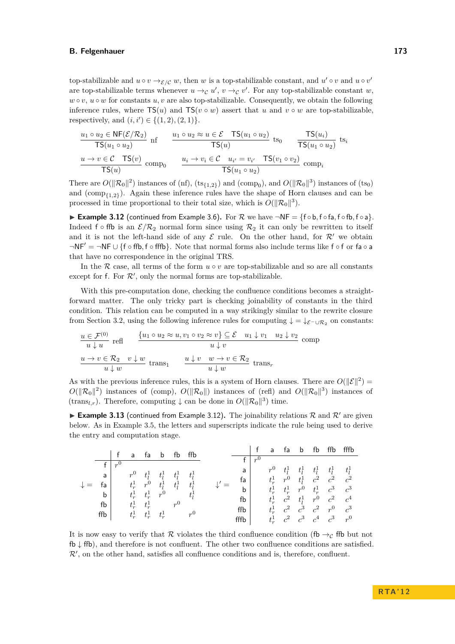top-stabilizable and  $u \circ v \to_{\mathcal{E}/\mathcal{C}} w$ , then *w* is a top-stabilizable constant, and  $u' \circ v$  and  $u \circ v'$ are top-stabilizable terms whenever  $u \rightarrow_{\mathcal{C}} u'$ ,  $v \rightarrow_{\mathcal{C}} v'$ . For any top-stabilizable constant *w*,  $w \circ v$ ,  $u \circ w$  for constants  $u, v$  are also top-stabilizable. Consequently, we obtain the following inference rules, where  $TS(u)$  and  $TS(v \circ w)$  assert that *u* and  $v \circ w$  are top-stabilizable, respectively, and  $(i, i') \in \{(1, 2), (2, 1)\}.$ 

$$
\frac{u_1 \circ u_2 \in \text{NF}(\mathcal{E}/\mathcal{R}_2)}{\text{TS}(u_1 \circ u_2)} \text{ nf } \frac{u_1 \circ u_2 \approx u \in \mathcal{E} \quad \text{TS}(u_1 \circ u_2)}{\text{TS}(u)} \text{ ts}_0 \quad \frac{\text{TS}(u_i)}{\text{TS}(u_1 \circ u_2)} \text{ ts}_i
$$
\n
$$
\frac{u \to v \in \mathcal{C} \quad \text{TS}(v)}{\text{TS}(u)} \text{ comp}_0 \quad \frac{u_i \to v_i \in \mathcal{C} \quad u_{i'} = v_{i'} \quad \text{TS}(v_1 \circ v_2)}{\text{TS}(u_1 \circ u_2)} \text{ comp}_i
$$

There are  $O(\|\mathcal{R}_0\|^2)$  instances of (nf),  $(ts_{\{1,2\}})$  and  $(\text{comp}_0)$ , and  $O(\|\mathcal{R}_0\|^3)$  instances of  $(ts_0)$ and (comp{1*,*2} ). Again these inference rules have the shape of Horn clauses and can be processed in time proportional to their total size, which is  $O(||\mathcal{R}_0||^3)$ .

<span id="page-8-0"></span>I **Example 3.12** (continued from Example [3.6\)](#page-5-2)**.** For R we have ¬NF = {f ◦ b*,* f ◦ fa*,* f ◦ fb*,* f ◦ a}. Indeed f ∘ ffb is an  $\mathcal{E}/\mathcal{R}_2$  normal form since using  $\mathcal{R}_2$  it can only be rewritten to itself and it is not the left-hand side of any  $\mathcal E$  rule. On the other hand, for  $\mathcal R'$  we obtain ¬NF' = ¬NF ∪ {f ∘ ffb, f ∘ fffb}. Note that normal forms also include terms like f ∘ f or fa ∘ a that have no correspondence in the original TRS.

In the R case, all terms of the form  $u \circ v$  are top-stabilizable and so are all constants except for f. For  $\mathcal{R}'$ , only the normal forms are top-stabilizable.

With this pre-computation done, checking the confluence conditions becomes a straightforward matter. The only tricky part is checking joinability of constants in the third condition. This relation can be computed in a way strikingly similar to the rewrite closure from Section [3.2,](#page-3-3) using the following inference rules for computing  $\downarrow = \downarrow_{\mathcal{E}}$ - $\cup_{\mathcal{R}_2}$  on constants:

$$
\frac{u \in \mathcal{F}^{(0)}}{u \downarrow u} \text{ refl} \qquad \frac{\{u_1 \circ u_2 \approx u, v_1 \circ v_2 \approx v\} \subseteq \mathcal{E} \quad u_1 \downarrow v_1 \quad u_2 \downarrow v_2}{u \downarrow v} \text{ comp}
$$
\n
$$
\frac{u \to v \in \mathcal{R}_2 \quad v \downarrow w}{u \downarrow w} \text{ trans}_1 \qquad \frac{u \downarrow v \quad w \to v \in \mathcal{R}_2}{u \downarrow w} \text{ trans}_r
$$

As with the previous inference rules, this is a system of Horn clauses. There are  $O(||\mathcal{E}||^2)$  =  $O(||\mathcal{R}_0||^2)$  instances of (comp),  $O(||\mathcal{R}_0||)$  instances of (refl) and  $O(||\mathcal{R}_0||^3)$  instances of (trans<sub>l,r</sub>). Therefore, computing  $\downarrow$  can be done in  $O(||\mathcal{R}_0||^3)$  time.

**Example 3.13** (continued from Example [3.12\)](#page-8-0). The joinability relations R and R' are given below. As in Example [3.5,](#page-4-1) the letters and superscripts indicate the rule being used to derive the entry and computation stage.

|  |     |  | a              | ta      |         |         | ffb     |      |    |         | a       | ta            |                                 | fb            | ffb     | fffb    |
|--|-----|--|----------------|---------|---------|---------|---------|------|----|---------|---------|---------------|---------------------------------|---------------|---------|---------|
|  |     |  |                |         |         |         |         |      |    | $n^{0}$ |         |               |                                 |               |         |         |
|  |     |  | r <sup>0</sup> |         | $t_l^1$ | $t_l^1$ | $t_1^1$ | a    |    |         | $r^0$   | $t_1^1$       | $t_l^1$                         | $t_l^1$       | $t_1^1$ | $t_i^1$ |
|  | a   |  |                | $t_I^1$ |         |         |         |      |    |         |         |               |                                 |               |         |         |
|  |     |  |                | $r^0$   |         |         |         |      | fa |         | $t_r^1$ | $r^0$ $t_l^1$ |                                 | $c^2$ $c^2$   |         | $c^2$   |
|  | fa  |  | $t_r^1$        |         | $t_l^1$ | $t_1^1$ | $t_i^1$ |      | b  |         | $t_r^1$ | $t_r^1$ $r^0$ |                                 | $t_r^1$ $c^3$ |         | $c^3$   |
|  | b   |  | $t_r^1$        | $t_r^1$ | $r^0$   |         | $t_I^1$ |      |    |         |         |               |                                 |               |         |         |
|  | fb  |  | $t_r^1$        | $t_r^1$ |         | $r^0$   |         |      | fb |         | $t_r^1$ | $c^2$ $t_l^1$ |                                 | $r^0$ $c^2$   |         | $c^4$   |
|  |     |  |                |         |         |         |         | ffb  |    |         |         |               | $t_r^1$ $c^2$ $c^3$ $c^2$       |               | $r^0$   | $c^3$   |
|  | ffb |  | $t_r^1$        | $t_r^1$ | $t_r^1$ |         | $r^0$   |      |    |         |         |               |                                 |               |         |         |
|  |     |  |                |         |         |         |         | fffb |    |         |         |               | $t_r^1$ $c^2$ $c^3$ $c^4$ $c^3$ |               |         | $r^0$   |

It is now easy to verify that R violates the third confluence condition (fb  $\rightarrow_C$  ffb but not fb ↓ ffb), and therefore is not confluent. The other two confluence conditions are satisfied.  $\mathcal{R}'$ , on the other hand, satisfies all confluence conditions and is, therefore, confluent.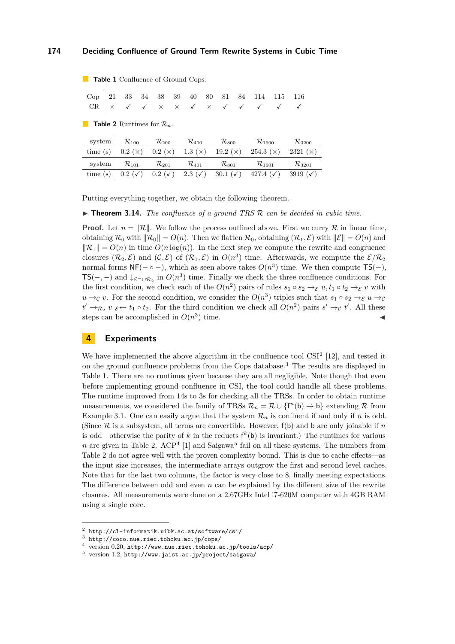<span id="page-9-1"></span>**Table 1** Confluence of Ground Cops.

Cop 21 33 34 38 39 40 80 81 84 114 115 116  $\frac{40}{\sqrt{2}}$   $\frac{80}{\times}$ 

<span id="page-9-2"></span>**Table 2** Runtimes for  $\mathcal{R}_n$ .

| system     | $\mathcal{R}_{100}$ | $\mathcal{R}_{200}$ | $\mathcal{R}_{\rm 400}$ | $\mathcal{R}_{800}$ | $\mathcal{R}_{1600}$ | $\mathcal{R}_{3200}$ |
|------------|---------------------|---------------------|-------------------------|---------------------|----------------------|----------------------|
| time $(s)$ | 0.2(x)              | 0.2(x)              | 1.3 $(x)$               | 19.2 $(\times)$     | 254.3(x)             | 2321 $(\times)$      |
| system     | $\mathcal{R}_{101}$ | $\mathcal{R}_{201}$ | $\mathcal{R}_{401}$     | $\mathcal{R}_{801}$ | $\mathcal{R}_{1601}$ | $\mathcal{R}_{3201}$ |
| time(s)    | $0.2 (\checkmark)$  | $0.2 (\checkmark)$  | 2.3 $(\checkmark)$      | 30.1 $(\checkmark)$ | 427.4 $(\checkmark)$ | 3919 ( $\checkmark$  |

Putting everything together, we obtain the following theorem.

▶ **Theorem 3.14.** *The confluence of a ground TRS R can be decided in cubic time.* 

**Proof.** Let  $n = \|\mathcal{R}\|$ . We follow the process outlined above. First we curry R in linear time, obtaining  $\mathcal{R}_0$  with  $\|\mathcal{R}_0\| = O(n)$ . Then we flatten  $\mathcal{R}_0$ , obtaining  $(\mathcal{R}_1, \mathcal{E})$  with  $\|\mathcal{E}\| = O(n)$  and  $\|\mathcal{R}_1\| = O(n)$  in time  $O(n \log(n))$ . In the next step we compute the rewrite and congruence closures  $(\mathcal{R}_2, \mathcal{E})$  and  $(\mathcal{C}, \mathcal{E})$  of  $(\mathcal{R}_1, \mathcal{E})$  in  $O(n^3)$  time. Afterwards, we compute the  $\mathcal{E}/\mathcal{R}_2$ normal forms  $NF(- \circ -)$ , which as seen above takes  $O(n^3)$  time. We then compute  $TS(-)$ , TS(-, -) and  $\downarrow$ <sub>E−∪R<sub>2</sub></sub> in  $O(n^3)$  time. Finally we check the three confluence conditions. For the first condition, we check each of the  $O(n^2)$  pairs of rules  $s_1 \circ s_2 \to_{\mathcal{E}} u, t_1 \circ t_2 \to_{\mathcal{E}} v$  with  $u \to_{\mathcal{C}} v$ . For the second condition, we consider the  $O(n^3)$  triples such that  $s_1 \circ s_2 \to_{\mathcal{E}} u \to_{\mathcal{C}} v$  $t' \rightarrow_{\mathcal{R}_2} v \varepsilon \leftarrow t_1 \circ t_2$ . For the third condition we check all  $O(n^2)$  pairs  $s' \rightarrow_c t'$ . All these steps can be accomplished in *O*(*n* 3 ) time.  $\blacksquare$ 

# <span id="page-9-0"></span>**4 Experiments**

We have implemented the above algorithm in the confluence tool  $\text{CSI}^2$  [\[12\]](#page-10-12), and tested it on the ground confluence problems from the Cops database.<sup>3</sup> The results are displayed in Table [1.](#page-9-1) There are no runtimes given because they are all negligible. Note though that even before implementing ground confluence in CSI, the tool could handle all these problems. The runtime improved from 14s to 3s for checking all the TRSs. In order to obtain runtime measurements, we considered the family of TRSs  $\mathcal{R}_n = \mathcal{R} \cup \{f^n(b) \to b\}$  extending R from Example [3.1.](#page-2-1) One can easily argue that the system  $\mathcal{R}_n$  is confluent if and only if *n* is odd. (Since  $\mathcal R$  is a subsystem, all terms are convertible. However,  $f(b)$  and b are only joinable if  $n$ is odd—otherwise the parity of k in the reducts  $f^k(b)$  is invariant.) The runtimes for various *n* are given in Table [2.](#page-9-2)  $\text{ACP}^4$  [\[1\]](#page-10-13) and Saigawa<sup>5</sup> fail on all these systems. The numbers from Table [2](#page-9-2) do not agree well with the proven complexity bound. This is due to cache effects—as the input size increases, the intermediate arrays outgrow the first and second level caches. Note that for the last two columns, the factor is very close to 8, finally meeting expectations. The difference between odd and even *n* can be explained by the different size of the rewrite closures. All measurements were done on a 2.67GHz Intel i7-620M computer with 4GB RAM using a single core.

 $2$  <http://cl-informatik.uibk.ac.at/software/csi/>

 $^3$  <http://coco.nue.riec.tohoku.ac.jp/cops/>

<sup>4</sup> version 0.20, <http://www.nue.riec.tohoku.ac.jp/tools/acp/>

 $^5$  version 1.2, <http://www.jaist.ac.jp/project/saigawa/>